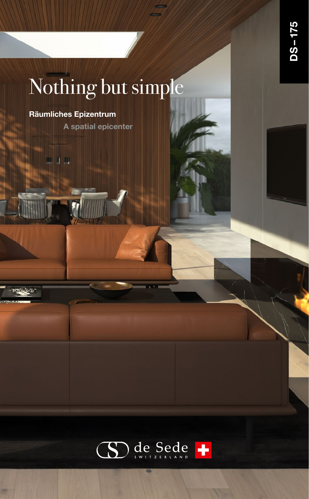# Nothing but simple

**BZL-SC** 

# Räumliches Epizentrum

99 J 99

A spatial epicenter

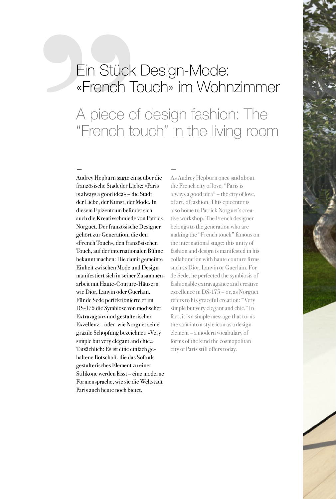# Ein Stück Design-Mode: «French Touch» im Wohnzimmer Ein Stück D<br>«French To

# A piece of design fashion: The "French touch" in the living room

*—*

*—* Audrey Hepburn sagte einst über die französische Stadt der Liebe: «Paris is always a good idea» – die Stadt der Liebe, der Kunst, der Mode. In diesem Epizentrum befindet sich auch die Kreativschmiede von Patrick Norguet. Der französische Designer gehört zur Generation, die den «French Touch», den französischen Touch, auf der internationalen Bühne bekannt machen: Die damit gemeinte Einheit zwischen Mode und Design manifestiert sich in seiner Zusammenarbeit mit Haute-Couture-Häusern wie Dior, Lanvin oder Guerlain. Für de Sede perfektionierte er im DS-175 die Symbiose von modischer Extravaganz und gestalterischer Exzellenz – oder, wie Norguet seine grazile Schöpfung bezeichnet: «Very simple but very elegant and chic.» Tatsächlich: Es ist eine einfach gehaltene Botschaft, die das Sofa als gestalterisches Element zu einer Stilikone werden lässt – eine moderne Formensprache, wie sie die Weltstadt Paris auch heute noch bietet.

As Audrey Hepburn once said about the French city of love: "Paris is always a good idea" – the city of love, of art, of fashion. This epicenter is also home to Patrick Norguet's creative workshop. The French designer belongs to the generation who are making the "French touch" famous on the international stage: this unity of fashion and design is manifested in his collaboration with haute couture firms such as Dior, Lanvin or Guerlain. For de Sede, he perfected the symbiosis of fashionable extravagance and creative excellence in DS-175 – or, as Norguet refers to his graceful creation: "Very simple but very elegant and chic." In fact, it is a simple message that turns the sofa into a style icon as a design element – a modern vocabulary of forms of the kind the cosmopolitan city of Paris still offers today.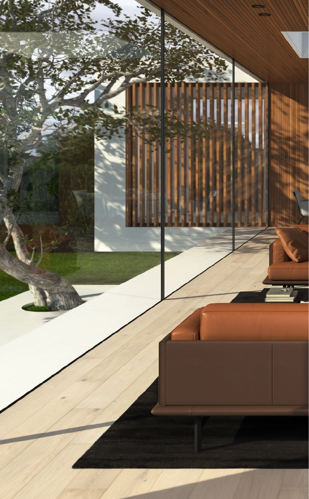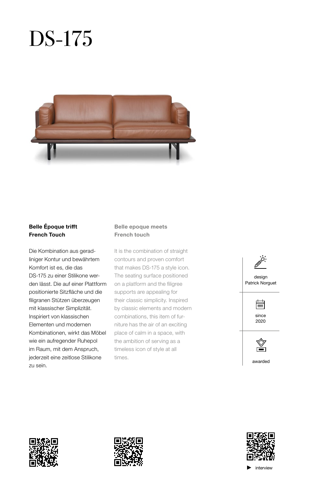# DS-175



## **Belle Époque trifft French Touch**

Die Kombination aus geradliniger Kontur und bewährtem Komfort ist es, die das DS-175 zu einer Stilikone werden lässt. Die auf einer Plattform positionierte Sitzfläche und die filigranen Stützen überzeugen mit klassischer Simplizität. Inspiriert von klassischen Elementen und modernen Kombinationen, wirkt das Möbel wie ein aufregender Ruhepol im Raum, mit dem Anspruch, jederzeit eine zeitlose Stilikone zu sein.

### **Belle epoque meets French touch**

It is the combination of straight contours and proven comfort that makes DS-175 a style icon. The seating surface positioned on a platform and the filigree supports are appealing for their classic simplicity. Inspired by classic elements and modern combinations, this item of furniture has the air of an exciting place of calm in a space, with the ambition of serving as a timeless icon of style at all times.









[interview](https://www.youtube.com/watch?v=lpgqIqbX1eA)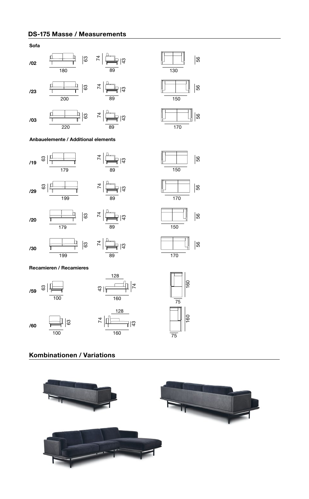













74 43







**Recamieren / Recamieres**





**/60**

**/30**





### **Kombinationen / Variations**

ස